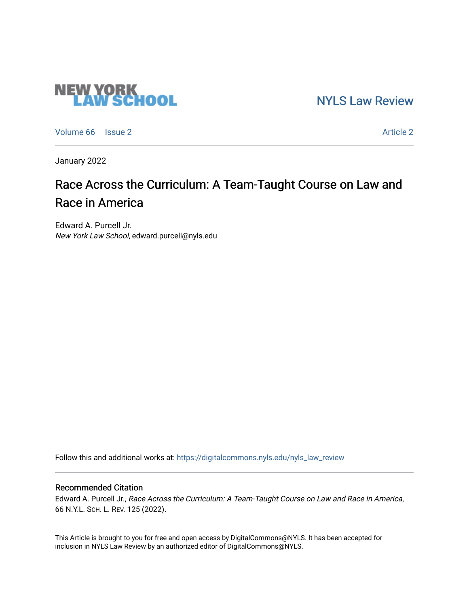# [NYLS Law Review](https://digitalcommons.nyls.edu/nyls_law_review)

[Volume 66](https://digitalcommons.nyls.edu/nyls_law_review/vol66) | [Issue 2](https://digitalcommons.nyls.edu/nyls_law_review/vol66/iss2) Article 2

**NEW YORK<br>LAW SCHOOL** 

January 2022

# Race Across the Curriculum: A Team-Taught Course on Law and Race in America

Edward A. Purcell Jr. New York Law School, edward.purcell@nyls.edu

Follow this and additional works at: [https://digitalcommons.nyls.edu/nyls\\_law\\_review](https://digitalcommons.nyls.edu/nyls_law_review?utm_source=digitalcommons.nyls.edu%2Fnyls_law_review%2Fvol66%2Fiss2%2F2&utm_medium=PDF&utm_campaign=PDFCoverPages) 

# Recommended Citation

Edward A. Purcell Jr., Race Across the Curriculum: A Team-Taught Course on Law and Race in America, 66 N.Y.L. SCH. L. REV. 125 (2022).

This Article is brought to you for free and open access by DigitalCommons@NYLS. It has been accepted for inclusion in NYLS Law Review by an authorized editor of DigitalCommons@NYLS.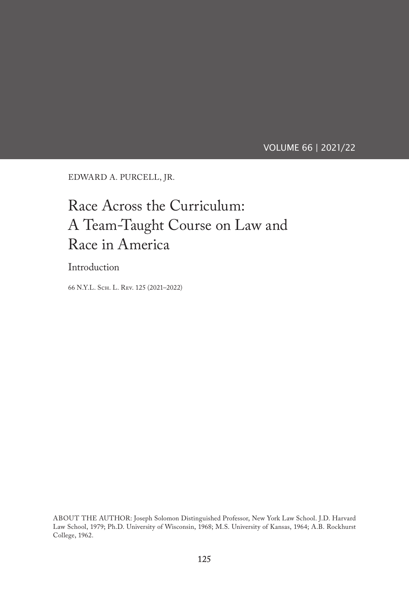VOLUME 66 | 2021/22

EDWARD A. PURCELL, JR.

# Race Across the Curriculum: A Team-Taught Course on Law and Race in America

Introduction

66 N.Y.L. Sch. L. Rev. 125 (2021–2022)

ABOUT THE AUTHOR: Joseph Solomon Distinguished Professor, New York Law School. J.D. Harvard Law School, 1979; Ph.D. University of Wisconsin, 1968; M.S. University of Kansas, 1964; A.B. Rockhurst College, 1962.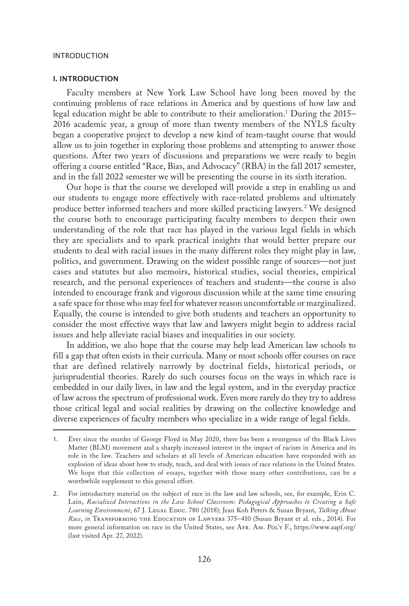#### I. INTRODUCTION

Faculty members at New York Law School have long been moved by the continuing problems of race relations in America and by questions of how law and legal education might be able to contribute to their amelioration.1 During the 2015– 2016 academic year, a group of more than twenty members of the NYLS faculty began a cooperative project to develop a new kind of team-taught course that would allow us to join together in exploring those problems and attempting to answer those questions. After two years of discussions and preparations we were ready to begin offering a course entitled "Race, Bias, and Advocacy" (RBA) in the fall 2017 semester, and in the fall 2022 semester we will be presenting the course in its sixth iteration.

Our hope is that the course we developed will provide a step in enabling us and our students to engage more effectively with race-related problems and ultimately produce better informed teachers and more skilled practicing lawyers.2 We designed the course both to encourage participating faculty members to deepen their own understanding of the role that race has played in the various legal fields in which they are specialists and to spark practical insights that would better prepare our students to deal with racial issues in the many different roles they might play in law, politics, and government. Drawing on the widest possible range of sources—not just cases and statutes but also memoirs, historical studies, social theories, empirical research, and the personal experiences of teachers and students—the course is also intended to encourage frank and vigorous discussion while at the same time ensuring a safe space for those who may feel for whatever reason uncomfortable or marginalized. Equally, the course is intended to give both students and teachers an opportunity to consider the most effective ways that law and lawyers might begin to address racial issues and help alleviate racial biases and inequalities in our society.

In addition, we also hope that the course may help lead American law schools to fill a gap that often exists in their curricula. Many or most schools offer courses on race that are defined relatively narrowly by doctrinal fields, historical periods, or jurisprudential theories. Rarely do such courses focus on the ways in which race is embedded in our daily lives, in law and the legal system, and in the everyday practice of law across the spectrum of professional work. Even more rarely do they try to address those critical legal and social realities by drawing on the collective knowledge and diverse experiences of faculty members who specialize in a wide range of legal fields.

<sup>1.</sup> Ever since the murder of George Floyd in May 2020, there has been a resurgence of the Black Lives Matter (BLM) movement and a sharply increased interest in the impact of racism in America and its role in the law. Teachers and scholars at all levels of American education have responded with an explosion of ideas about how to study, teach, and deal with issues of race relations in the United States. We hope that this collection of essays, together with those many other contributions, can be a worthwhile supplement to this general effort.

<sup>2.</sup> For introductory material on the subject of race in the law and law schools, see, for example, Erin C. Lain, *Racialized Interactions in the Law School Classroom: Pedagogical Approaches to Creating a Safe Learning Environment*, 67 J. Legal Educ. 780 (2018); Jean Koh Peters & Susan Bryant, *Talking About Race*, *in* Transforming the Education of Lawyers 375–410 (Susan Bryant et al. eds., 2014). For more general information on race in the United States, see Afr. Am. Pol'y F., https://www.aapf.org/ (last visited Apr. 27, 2022).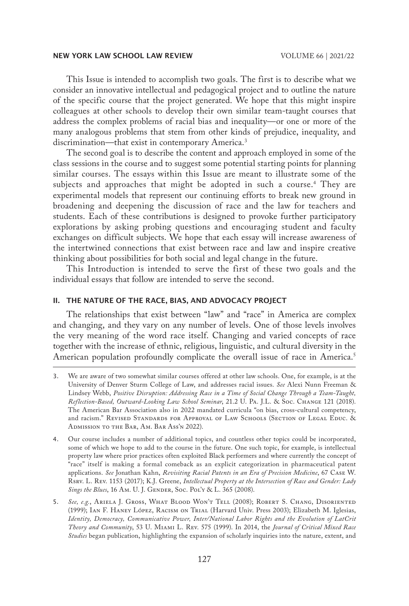This Issue is intended to accomplish two goals. The first is to describe what we consider an innovative intellectual and pedagogical project and to outline the nature of the specific course that the project generated. We hope that this might inspire colleagues at other schools to develop their own similar team-taught courses that address the complex problems of racial bias and inequality—or one or more of the many analogous problems that stem from other kinds of prejudice, inequality, and discrimination—that exist in contemporary America.<sup>3</sup>

The second goal is to describe the content and approach employed in some of the class sessions in the course and to suggest some potential starting points for planning similar courses. The essays within this Issue are meant to illustrate some of the subjects and approaches that might be adopted in such a course.4 They are experimental models that represent our continuing efforts to break new ground in broadening and deepening the discussion of race and the law for teachers and students. Each of these contributions is designed to provoke further participatory explorations by asking probing questions and encouraging student and faculty exchanges on difficult subjects. We hope that each essay will increase awareness of the intertwined connections that exist between race and law and inspire creative thinking about possibilities for both social and legal change in the future.

This Introduction is intended to serve the first of these two goals and the individual essays that follow are intended to serve the second.

## II. THE NATURE OF THE RACE, BIAS, AND ADVOCACY PROJECT

The relationships that exist between "law" and "race" in America are complex and changing, and they vary on any number of levels. One of those levels involves the very meaning of the word race itself. Changing and varied concepts of race together with the increase of ethnic, religious, linguistic, and cultural diversity in the American population profoundly complicate the overall issue of race in America.<sup>5</sup>

<sup>3.</sup> We are aware of two somewhat similar courses offered at other law schools. One, for example, is at the University of Denver Sturm College of Law, and addresses racial issues. *See* Alexi Nunn Freeman & Lindsey Webb, *Positive Disruption: Addressing Race in a Time of Social Change Through a Team-Taught, Reflection-Based, Outward-Looking Law School Seminar*, 21.2 U. Pa. J.L. & Soc. Change 121 (2018). The American Bar Association also in 2022 mandated curricula "on bias, cross-cultural competency, and racism." REVISED STANDARDS FOR APPROVAL OF LAW SCHOOLS (SECTION OF LEGAL EDUC. & Admission to the Bar, Am. Bar Ass'n 2022).

<sup>4.</sup> Our course includes a number of additional topics, and countless other topics could be incorporated, some of which we hope to add to the course in the future. One such topic, for example, is intellectual property law where prior practices often exploited Black performers and where currently the concept of "race" itself is making a formal comeback as an explicit categorization in pharmaceutical patent applications. *See* Jonathan Kahn, *Revisiting Racial Patents in an Era of Precision Medicine*, 67 Case W. Rsrv. L. Rev. 1153 (2017); K.J. Greene, *Intellectual Property at the Intersection of Race and Gender: Lady*  Sings the Blues, 16 Am. U. J. GENDER, Soc. Pol'y & L. 365 (2008).

<sup>5.</sup> *See, e.g.*, Ariela J. Gross, What Blood Won't Tell (2008); Robert S. Chang, Disoriented (1999); Ian F. Haney López, Racism on Trial (Harvard Univ. Press 2003); Elizabeth M. Iglesias, *Identity, Democracy, Communicative Power, Inter/National Labor Rights and the Evolution of LatCrit Theory and Community*, 53 U. Miami L. Rev. 575 (1999). In 2014, the *Journal of Critical Mixed Race Studies* began publication, highlighting the expansion of scholarly inquiries into the nature, extent, and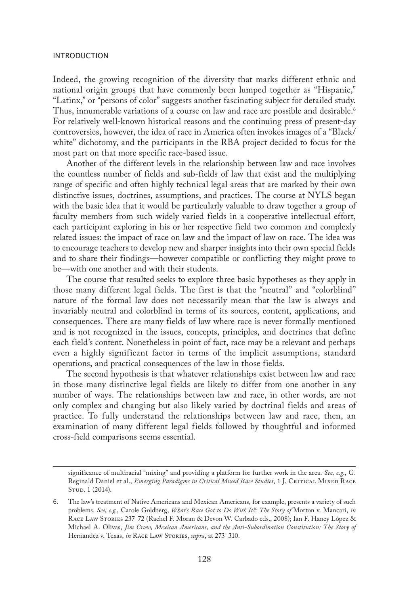Indeed, the growing recognition of the diversity that marks different ethnic and national origin groups that have commonly been lumped together as "Hispanic," "Latinx," or "persons of color" suggests another fascinating subject for detailed study. Thus, innumerable variations of a course on law and race are possible and desirable.<sup>6</sup> For relatively well-known historical reasons and the continuing press of present-day controversies, however, the idea of race in America often invokes images of a "Black/ white" dichotomy, and the participants in the RBA project decided to focus for the most part on that more specific race-based issue.

Another of the different levels in the relationship between law and race involves the countless number of fields and sub-fields of law that exist and the multiplying range of specific and often highly technical legal areas that are marked by their own distinctive issues, doctrines, assumptions, and practices. The course at NYLS began with the basic idea that it would be particularly valuable to draw together a group of faculty members from such widely varied fields in a cooperative intellectual effort, each participant exploring in his or her respective field two common and complexly related issues: the impact of race on law and the impact of law on race. The idea was to encourage teachers to develop new and sharper insights into their own special fields and to share their findings—however compatible or conflicting they might prove to be—with one another and with their students.

The course that resulted seeks to explore three basic hypotheses as they apply in those many different legal fields. The first is that the "neutral" and "colorblind" nature of the formal law does not necessarily mean that the law is always and invariably neutral and colorblind in terms of its sources, content, applications, and consequences. There are many fields of law where race is never formally mentioned and is not recognized in the issues, concepts, principles, and doctrines that define each field's content. Nonetheless in point of fact, race may be a relevant and perhaps even a highly significant factor in terms of the implicit assumptions, standard operations, and practical consequences of the law in those fields.

The second hypothesis is that whatever relationships exist between law and race in those many distinctive legal fields are likely to differ from one another in any number of ways. The relationships between law and race, in other words, are not only complex and changing but also likely varied by doctrinal fields and areas of practice. To fully understand the relationships between law and race, then, an examination of many different legal fields followed by thoughtful and informed cross-field comparisons seems essential.

significance of multiracial "mixing" and providing a platform for further work in the area. *See, e.g.*, G. Reginald Daniel et al., *Emerging Paradigms in Critical Mixed Race Studies*, 1 J. CRITICAL MIXED RACE STUD. 1 (2014).

<sup>6.</sup> The law's treatment of Native Americans and Mexican Americans, for example, presents a variety of such problems. *See, e.g.*, Carole Goldberg, *What's Race Got to Do With It?: The Story of* Morton v. Mancari, *in* Race Law Stories 237–72 (Rachel F. Moran & Devon W. Carbado eds., 2008); Ian F. Haney López & Michael A. Olivas, *Jim Crow, Mexican Americans, and the Anti-Subordination Constitution: The Story of* Hernandez v. Texas, in RACE LAW STORIES, *supra*, at 273-310.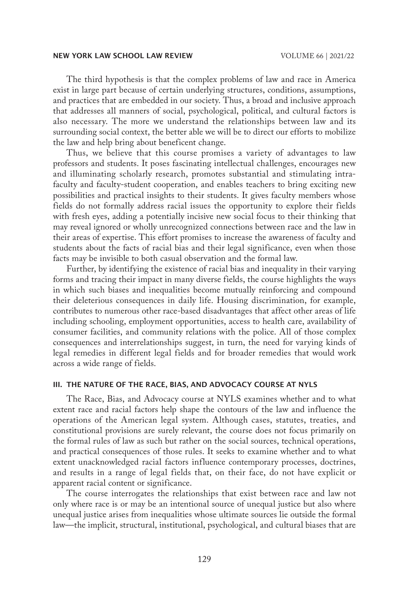The third hypothesis is that the complex problems of law and race in America exist in large part because of certain underlying structures, conditions, assumptions, and practices that are embedded in our society. Thus, a broad and inclusive approach that addresses all manners of social, psychological, political, and cultural factors is also necessary. The more we understand the relationships between law and its surrounding social context, the better able we will be to direct our efforts to mobilize the law and help bring about beneficent change.

Thus, we believe that this course promises a variety of advantages to law professors and students. It poses fascinating intellectual challenges, encourages new and illuminating scholarly research, promotes substantial and stimulating intrafaculty and faculty-student cooperation, and enables teachers to bring exciting new possibilities and practical insights to their students. It gives faculty members whose fields do not formally address racial issues the opportunity to explore their fields with fresh eyes, adding a potentially incisive new social focus to their thinking that may reveal ignored or wholly unrecognized connections between race and the law in their areas of expertise. This effort promises to increase the awareness of faculty and students about the facts of racial bias and their legal significance, even when those facts may be invisible to both casual observation and the formal law.

Further, by identifying the existence of racial bias and inequality in their varying forms and tracing their impact in many diverse fields, the course highlights the ways in which such biases and inequalities become mutually reinforcing and compound their deleterious consequences in daily life. Housing discrimination, for example, contributes to numerous other race-based disadvantages that affect other areas of life including schooling, employment opportunities, access to health care, availability of consumer facilities, and community relations with the police. All of those complex consequences and interrelationships suggest, in turn, the need for varying kinds of legal remedies in different legal fields and for broader remedies that would work across a wide range of fields.

#### III. THE NATURE OF THE RACE, BIAS, AND ADVOCACY COURSE AT NYLS

The Race, Bias, and Advocacy course at NYLS examines whether and to what extent race and racial factors help shape the contours of the law and influence the operations of the American legal system. Although cases, statutes, treaties, and constitutional provisions are surely relevant, the course does not focus primarily on the formal rules of law as such but rather on the social sources, technical operations, and practical consequences of those rules. It seeks to examine whether and to what extent unacknowledged racial factors influence contemporary processes, doctrines, and results in a range of legal fields that, on their face, do not have explicit or apparent racial content or significance.

The course interrogates the relationships that exist between race and law not only where race is or may be an intentional source of unequal justice but also where unequal justice arises from inequalities whose ultimate sources lie outside the formal law—the implicit, structural, institutional, psychological, and cultural biases that are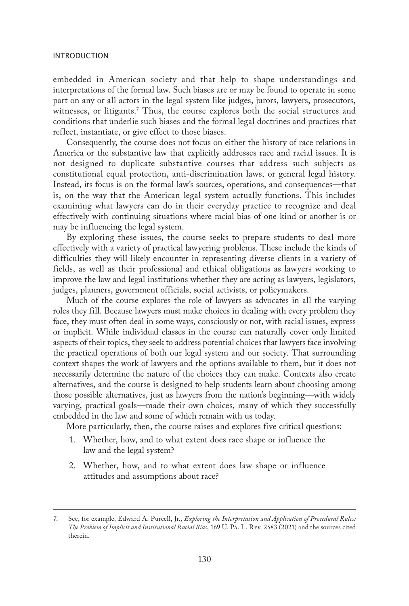embedded in American society and that help to shape understandings and interpretations of the formal law. Such biases are or may be found to operate in some part on any or all actors in the legal system like judges, jurors, lawyers, prosecutors, witnesses, or litigants.7 Thus, the course explores both the social structures and conditions that underlie such biases and the formal legal doctrines and practices that reflect, instantiate, or give effect to those biases.

Consequently, the course does not focus on either the history of race relations in America or the substantive law that explicitly addresses race and racial issues. It is not designed to duplicate substantive courses that address such subjects as constitutional equal protection, anti-discrimination laws, or general legal history. Instead, its focus is on the formal law's sources, operations, and consequences—that is, on the way that the American legal system actually functions. This includes examining what lawyers can do in their everyday practice to recognize and deal effectively with continuing situations where racial bias of one kind or another is or may be influencing the legal system.

By exploring these issues, the course seeks to prepare students to deal more effectively with a variety of practical lawyering problems. These include the kinds of difficulties they will likely encounter in representing diverse clients in a variety of fields, as well as their professional and ethical obligations as lawyers working to improve the law and legal institutions whether they are acting as lawyers, legislators, judges, planners, government officials, social activists, or policymakers.

Much of the course explores the role of lawyers as advocates in all the varying roles they fill. Because lawyers must make choices in dealing with every problem they face, they must often deal in some ways, consciously or not, with racial issues, express or implicit. While individual classes in the course can naturally cover only limited aspects of their topics, they seek to address potential choices that lawyers face involving the practical operations of both our legal system and our society. That surrounding context shapes the work of lawyers and the options available to them, but it does not necessarily determine the nature of the choices they can make. Contexts also create alternatives, and the course is designed to help students learn about choosing among those possible alternatives, just as lawyers from the nation's beginning—with widely varying, practical goals—made their own choices, many of which they successfully embedded in the law and some of which remain with us today.

More particularly, then, the course raises and explores five critical questions:

- 1. Whether, how, and to what extent does race shape or influence the law and the legal system?
- 2. Whether, how, and to what extent does law shape or influence attitudes and assumptions about race?

<sup>7.</sup> See, for example, Edward A. Purcell, Jr., *Exploring the Interpretation and Application of Procedural Rules: The Problem of Implicit and Institutional Racial Bias*, 169 U. Pa. L. Rev. 2583 (2021) and the sources cited therein.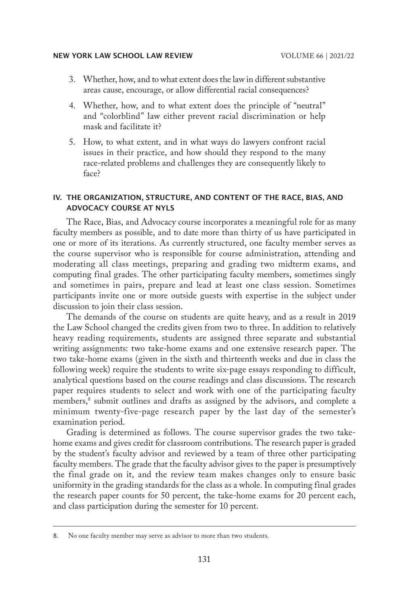- 3. Whether, how, and to what extent does the law in different substantive areas cause, encourage, or allow differential racial consequences?
- 4. Whether, how, and to what extent does the principle of "neutral" and "colorblind" law either prevent racial discrimination or help mask and facilitate it?
- 5. How, to what extent, and in what ways do lawyers confront racial issues in their practice, and how should they respond to the many race-related problems and challenges they are consequently likely to face?

# IV. THE ORGANIZATION, STRUCTURE, AND CONTENT OF THE RACE, BIAS, AND ADVOCACY COURSE AT NYLS

The Race, Bias, and Advocacy course incorporates a meaningful role for as many faculty members as possible, and to date more than thirty of us have participated in one or more of its iterations. As currently structured, one faculty member serves as the course supervisor who is responsible for course administration, attending and moderating all class meetings, preparing and grading two midterm exams, and computing final grades. The other participating faculty members, sometimes singly and sometimes in pairs, prepare and lead at least one class session. Sometimes participants invite one or more outside guests with expertise in the subject under discussion to join their class session.

The demands of the course on students are quite heavy, and as a result in 2019 the Law School changed the credits given from two to three. In addition to relatively heavy reading requirements, students are assigned three separate and substantial writing assignments: two take-home exams and one extensive research paper. The two take-home exams (given in the sixth and thirteenth weeks and due in class the following week) require the students to write six-page essays responding to difficult, analytical questions based on the course readings and class discussions. The research paper requires students to select and work with one of the participating faculty members,8 submit outlines and drafts as assigned by the advisors, and complete a minimum twenty-five-page research paper by the last day of the semester's examination period.

Grading is determined as follows. The course supervisor grades the two takehome exams and gives credit for classroom contributions. The research paper is graded by the student's faculty advisor and reviewed by a team of three other participating faculty members. The grade that the faculty advisor gives to the paper is presumptively the final grade on it, and the review team makes changes only to ensure basic uniformity in the grading standards for the class as a whole. In computing final grades the research paper counts for 50 percent, the take-home exams for 20 percent each, and class participation during the semester for 10 percent.

<sup>8.</sup> No one faculty member may serve as advisor to more than two students.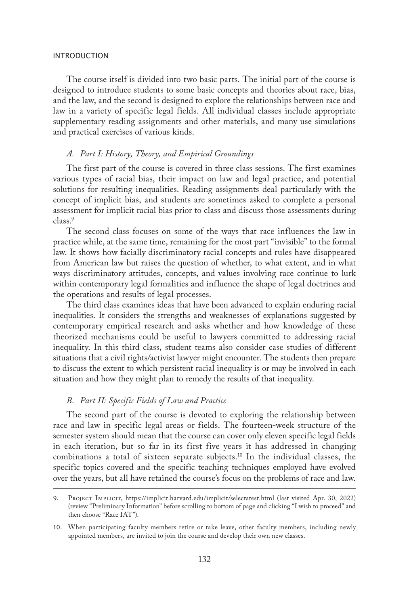The course itself is divided into two basic parts. The initial part of the course is designed to introduce students to some basic concepts and theories about race, bias, and the law, and the second is designed to explore the relationships between race and law in a variety of specific legal fields. All individual classes include appropriate supplementary reading assignments and other materials, and many use simulations and practical exercises of various kinds.

#### *A. Part I: History, Theory, and Empirical Groundings*

The first part of the course is covered in three class sessions. The first examines various types of racial bias, their impact on law and legal practice, and potential solutions for resulting inequalities. Reading assignments deal particularly with the concept of implicit bias, and students are sometimes asked to complete a personal assessment for implicit racial bias prior to class and discuss those assessments during class.<sup>9</sup>

The second class focuses on some of the ways that race influences the law in practice while, at the same time, remaining for the most part "invisible" to the formal law. It shows how facially discriminatory racial concepts and rules have disappeared from American law but raises the question of whether, to what extent, and in what ways discriminatory attitudes, concepts, and values involving race continue to lurk within contemporary legal formalities and influence the shape of legal doctrines and the operations and results of legal processes.

The third class examines ideas that have been advanced to explain enduring racial inequalities. It considers the strengths and weaknesses of explanations suggested by contemporary empirical research and asks whether and how knowledge of these theorized mechanisms could be useful to lawyers committed to addressing racial inequality. In this third class, student teams also consider case studies of different situations that a civil rights/activist lawyer might encounter. The students then prepare to discuss the extent to which persistent racial inequality is or may be involved in each situation and how they might plan to remedy the results of that inequality.

# *B. Part II: Specific Fields of Law and Practice*

The second part of the course is devoted to exploring the relationship between race and law in specific legal areas or fields. The fourteen-week structure of the semester system should mean that the course can cover only eleven specific legal fields in each iteration, but so far in its first five years it has addressed in changing combinations a total of sixteen separate subjects.10 In the individual classes, the specific topics covered and the specific teaching techniques employed have evolved over the years, but all have retained the course's focus on the problems of race and law.

<sup>9.</sup> Project Implicit, https://implicit.harvard.edu/implicit/selectatest.html (last visited Apr. 30, 2022) (review "Preliminary Information" before scrolling to bottom of page and clicking "I wish to proceed" and then choose "Race IAT").

<sup>10.</sup> When participating faculty members retire or take leave, other faculty members, including newly appointed members, are invited to join the course and develop their own new classes.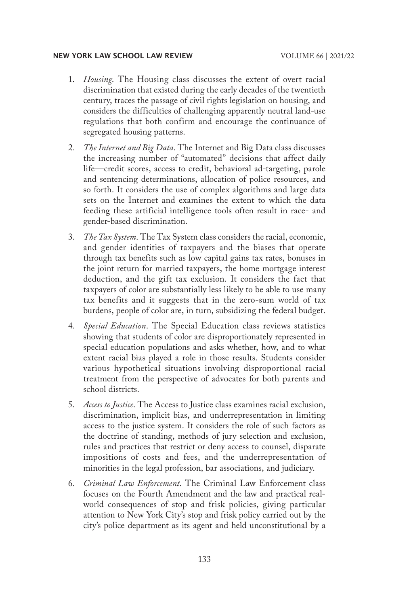- 1. *Housing*. The Housing class discusses the extent of overt racial discrimination that existed during the early decades of the twentieth century, traces the passage of civil rights legislation on housing, and considers the difficulties of challenging apparently neutral land-use regulations that both confirm and encourage the continuance of segregated housing patterns.
- 2. *The Internet and Big Data*. The Internet and Big Data class discusses the increasing number of "automated" decisions that affect daily life—credit scores, access to credit, behavioral ad-targeting, parole and sentencing determinations, allocation of police resources, and so forth. It considers the use of complex algorithms and large data sets on the Internet and examines the extent to which the data feeding these artificial intelligence tools often result in race- and gender-based discrimination.
- 3. *The Tax System*. The Tax System class considers the racial, economic, and gender identities of taxpayers and the biases that operate through tax benefits such as low capital gains tax rates, bonuses in the joint return for married taxpayers, the home mortgage interest deduction, and the gift tax exclusion. It considers the fact that taxpayers of color are substantially less likely to be able to use many tax benefits and it suggests that in the zero-sum world of tax burdens, people of color are, in turn, subsidizing the federal budget.
- 4. *Special Education*. The Special Education class reviews statistics showing that students of color are disproportionately represented in special education populations and asks whether, how, and to what extent racial bias played a role in those results. Students consider various hypothetical situations involving disproportional racial treatment from the perspective of advocates for both parents and school districts.
- 5. *Access to Justice*. The Access to Justice class examines racial exclusion, discrimination, implicit bias, and underrepresentation in limiting access to the justice system. It considers the role of such factors as the doctrine of standing, methods of jury selection and exclusion, rules and practices that restrict or deny access to counsel, disparate impositions of costs and fees, and the underrepresentation of minorities in the legal profession, bar associations, and judiciary.
- 6. *Criminal Law Enforcement*. The Criminal Law Enforcement class focuses on the Fourth Amendment and the law and practical realworld consequences of stop and frisk policies, giving particular attention to New York City's stop and frisk policy carried out by the city's police department as its agent and held unconstitutional by a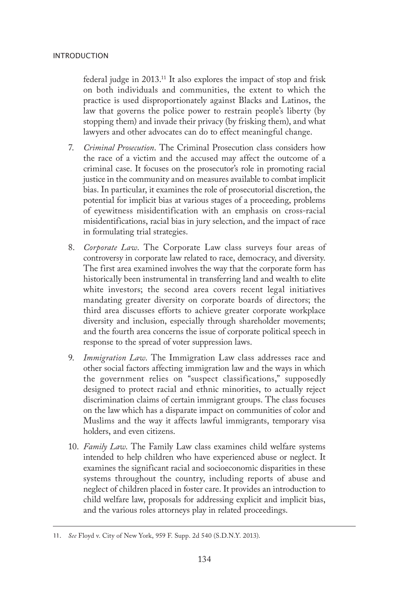federal judge in 2013.11 It also explores the impact of stop and frisk on both individuals and communities, the extent to which the practice is used disproportionately against Blacks and Latinos, the law that governs the police power to restrain people's liberty (by stopping them) and invade their privacy (by frisking them), and what lawyers and other advocates can do to effect meaningful change.

- 7. *Criminal Prosecution*. The Criminal Prosecution class considers how the race of a victim and the accused may affect the outcome of a criminal case. It focuses on the prosecutor's role in promoting racial justice in the community and on measures available to combat implicit bias. In particular, it examines the role of prosecutorial discretion, the potential for implicit bias at various stages of a proceeding, problems of eyewitness misidentification with an emphasis on cross-racial misidentifications, racial bias in jury selection, and the impact of race in formulating trial strategies.
- 8. *Corporate Law*. The Corporate Law class surveys four areas of controversy in corporate law related to race, democracy, and diversity. The first area examined involves the way that the corporate form has historically been instrumental in transferring land and wealth to elite white investors; the second area covers recent legal initiatives mandating greater diversity on corporate boards of directors; the third area discusses efforts to achieve greater corporate workplace diversity and inclusion, especially through shareholder movements; and the fourth area concerns the issue of corporate political speech in response to the spread of voter suppression laws.
- 9. *Immigration Law*. The Immigration Law class addresses race and other social factors affecting immigration law and the ways in which the government relies on "suspect classifications," supposedly designed to protect racial and ethnic minorities, to actually reject discrimination claims of certain immigrant groups. The class focuses on the law which has a disparate impact on communities of color and Muslims and the way it affects lawful immigrants, temporary visa holders, and even citizens.
- 10. *Family Law*. The Family Law class examines child welfare systems intended to help children who have experienced abuse or neglect. It examines the significant racial and socioeconomic disparities in these systems throughout the country, including reports of abuse and neglect of children placed in foster care. It provides an introduction to child welfare law, proposals for addressing explicit and implicit bias, and the various roles attorneys play in related proceedings.

<sup>11.</sup> *See* Floyd v. City of New York, 959 F. Supp. 2d 540 (S.D.N.Y. 2013).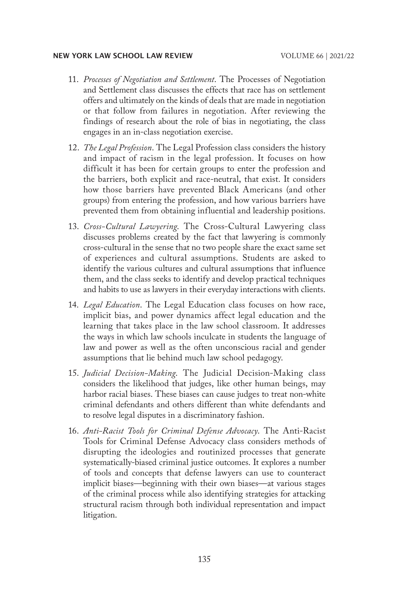- 11. *Processes of Negotiation and Settlement*. The Processes of Negotiation and Settlement class discusses the effects that race has on settlement offers and ultimately on the kinds of deals that are made in negotiation or that follow from failures in negotiation. After reviewing the findings of research about the role of bias in negotiating, the class engages in an in-class negotiation exercise.
- 12. *The Legal Profession*. The Legal Profession class considers the history and impact of racism in the legal profession. It focuses on how difficult it has been for certain groups to enter the profession and the barriers, both explicit and race-neutral, that exist. It considers how those barriers have prevented Black Americans (and other groups) from entering the profession, and how various barriers have prevented them from obtaining influential and leadership positions.
- 13. *Cross-Cultural Lawyering*. The Cross-Cultural Lawyering class discusses problems created by the fact that lawyering is commonly cross-cultural in the sense that no two people share the exact same set of experiences and cultural assumptions. Students are asked to identify the various cultures and cultural assumptions that influence them, and the class seeks to identify and develop practical techniques and habits to use as lawyers in their everyday interactions with clients.
- 14. *Legal Education*. The Legal Education class focuses on how race, implicit bias, and power dynamics affect legal education and the learning that takes place in the law school classroom. It addresses the ways in which law schools inculcate in students the language of law and power as well as the often unconscious racial and gender assumptions that lie behind much law school pedagogy.
- 15. *Judicial Decision-Making*. The Judicial Decision-Making class considers the likelihood that judges, like other human beings, may harbor racial biases. These biases can cause judges to treat non-white criminal defendants and others different than white defendants and to resolve legal disputes in a discriminatory fashion.
- 16. *Anti-Racist Tools for Criminal Defense Advocacy*. The Anti-Racist Tools for Criminal Defense Advocacy class considers methods of disrupting the ideologies and routinized processes that generate systematically-biased criminal justice outcomes. It explores a number of tools and concepts that defense lawyers can use to counteract implicit biases—beginning with their own biases—at various stages of the criminal process while also identifying strategies for attacking structural racism through both individual representation and impact litigation.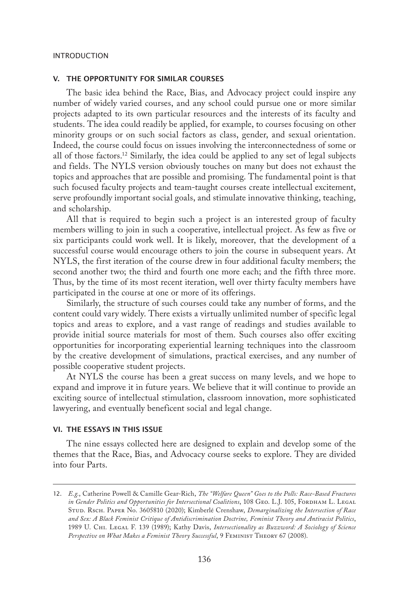#### V. THE OPPORTUNITY FOR SIMILAR COURSES

The basic idea behind the Race, Bias, and Advocacy project could inspire any number of widely varied courses, and any school could pursue one or more similar projects adapted to its own particular resources and the interests of its faculty and students. The idea could readily be applied, for example, to courses focusing on other minority groups or on such social factors as class, gender, and sexual orientation. Indeed, the course could focus on issues involving the interconnectedness of some or all of those factors.12 Similarly, the idea could be applied to any set of legal subjects and fields. The NYLS version obviously touches on many but does not exhaust the topics and approaches that are possible and promising. The fundamental point is that such focused faculty projects and team-taught courses create intellectual excitement, serve profoundly important social goals, and stimulate innovative thinking, teaching, and scholarship.

All that is required to begin such a project is an interested group of faculty members willing to join in such a cooperative, intellectual project. As few as five or six participants could work well. It is likely, moreover, that the development of a successful course would encourage others to join the course in subsequent years. At NYLS, the first iteration of the course drew in four additional faculty members; the second another two; the third and fourth one more each; and the fifth three more. Thus, by the time of its most recent iteration, well over thirty faculty members have participated in the course at one or more of its offerings.

Similarly, the structure of such courses could take any number of forms, and the content could vary widely. There exists a virtually unlimited number of specific legal topics and areas to explore, and a vast range of readings and studies available to provide initial source materials for most of them. Such courses also offer exciting opportunities for incorporating experiential learning techniques into the classroom by the creative development of simulations, practical exercises, and any number of possible cooperative student projects.

At NYLS the course has been a great success on many levels, and we hope to expand and improve it in future years. We believe that it will continue to provide an exciting source of intellectual stimulation, classroom innovation, more sophisticated lawyering, and eventually beneficent social and legal change.

# VI. THE ESSAYS IN THIS ISSUE

The nine essays collected here are designed to explain and develop some of the themes that the Race, Bias, and Advocacy course seeks to explore. They are divided into four Parts.

<sup>12.</sup> *E.g.*, Catherine Powell & Camille Gear-Rich, *The "Welfare Queen" Goes to the Polls: Race-Based Fractures in Gender Politics and Opportunities for Intersectional Coalitions*, 108 GEO. L.J. 105, FORDHAM L. LEGAL Stud. Rsch. Paper No. 3605810 (2020); Kimberlé Crenshaw, *Demarginalizing the Intersection of Race and Sex: A Black Feminist Critique of Antidiscrimination Doctrine, Feminist Theory and Antiracist Politics*, 1989 U. Chi. Legal F. 139 (1989); Kathy Davis, *Intersectionality as Buzzword: A Sociology of Science*  Perspective on What Makes a Feminist Theory Successful, 9 FEMINIST THEORY 67 (2008).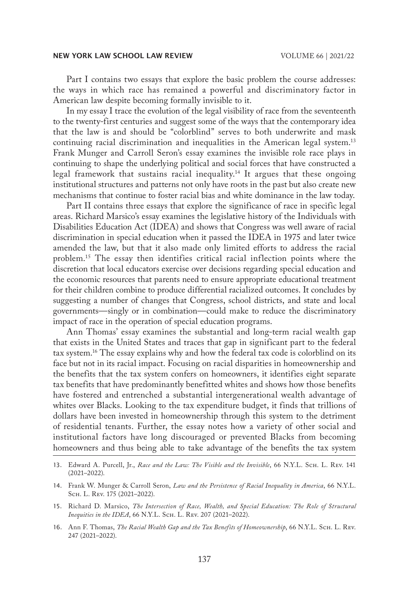Part I contains two essays that explore the basic problem the course addresses: the ways in which race has remained a powerful and discriminatory factor in American law despite becoming formally invisible to it.

In my essay I trace the evolution of the legal visibility of race from the seventeenth to the twenty-first centuries and suggest some of the ways that the contemporary idea that the law is and should be "colorblind" serves to both underwrite and mask continuing racial discrimination and inequalities in the American legal system.13 Frank Munger and Carroll Seron's essay examines the invisible role race plays in continuing to shape the underlying political and social forces that have constructed a legal framework that sustains racial inequality.<sup>14</sup> It argues that these ongoing institutional structures and patterns not only have roots in the past but also create new mechanisms that continue to foster racial bias and white dominance in the law today.

Part II contains three essays that explore the significance of race in specific legal areas. Richard Marsico's essay examines the legislative history of the Individuals with Disabilities Education Act (IDEA) and shows that Congress was well aware of racial discrimination in special education when it passed the IDEA in 1975 and later twice amended the law, but that it also made only limited efforts to address the racial problem.15 The essay then identifies critical racial inflection points where the discretion that local educators exercise over decisions regarding special education and the economic resources that parents need to ensure appropriate educational treatment for their children combine to produce differential racialized outcomes. It concludes by suggesting a number of changes that Congress, school districts, and state and local governments—singly or in combination—could make to reduce the discriminatory impact of race in the operation of special education programs.

Ann Thomas' essay examines the substantial and long-term racial wealth gap that exists in the United States and traces that gap in significant part to the federal tax system.16 The essay explains why and how the federal tax code is colorblind on its face but not in its racial impact. Focusing on racial disparities in homeownership and the benefits that the tax system confers on homeowners, it identifies eight separate tax benefits that have predominantly benefitted whites and shows how those benefits have fostered and entrenched a substantial intergenerational wealth advantage of whites over Blacks. Looking to the tax expenditure budget, it finds that trillions of dollars have been invested in homeownership through this system to the detriment of residential tenants. Further, the essay notes how a variety of other social and institutional factors have long discouraged or prevented Blacks from becoming homeowners and thus being able to take advantage of the benefits the tax system

<sup>13.</sup> Edward A. Purcell, Jr., *Race and the Law: The Visible and the Invisible*, 66 N.Y.L. ScH. L. Rev. 141 (2021–2022).

<sup>14.</sup> Frank W. Munger & Carroll Seron, *Law and the Persistence of Racial Inequality in America*, 66 N.Y.L. Sch. L. Rev. 175 (2021–2022).

<sup>15.</sup> Richard D. Marsico, *The Intersection of Race, Wealth, and Special Education: The Role of Structural Inequities in the IDEA*, 66 N.Y.L. Sch. L. Rev. 207 (2021–2022).

<sup>16.</sup> Ann F. Thomas, *The Racial Wealth Gap and the Tax Benefits of Homeownership*, 66 N.Y.L. Scн. L. Rev. 247 (2021–2022).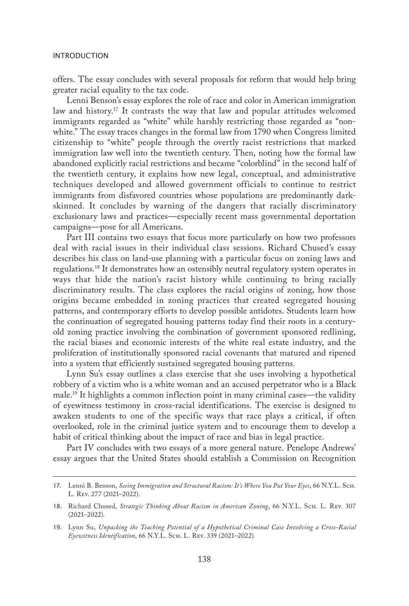offers. The essay concludes with several proposals for reform that would help bring greater racial equality to the tax code.

Lenni Benson's essay explores the role of race and color in American immigration law and history.<sup>17</sup> It contrasts the way that law and popular attitudes welcomed immigrants regarded as "white" while harshly restricting those regarded as "nonwhite." The essay traces changes in the formal law from 1790 when Congress limited citizenship to "white" people through the overtly racist restrictions that marked immigration law well into the twentieth century. Then, noting how the formal law abandoned explicitly racial restrictions and became "colorblind" in the second half of the twentieth century, it explains how new legal, conceptual, and administrative techniques developed and allowed government officials to continue to restrict immigrants from disfavored countries whose populations are predominantly darkskinned. It concludes by warning of the dangers that racially discriminatory exclusionary laws and practices—especially recent mass governmental deportation campaigns—pose for all Americans.

Part III contains two essays that focus more particularly on how two professors deal with racial issues in their individual class sessions. Richard Chused's essay describes his class on land-use planning with a particular focus on zoning laws and regulations.18 It demonstrates how an ostensibly neutral regulatory system operates in ways that hide the nation's racist history while continuing to bring racially discriminatory results. The class explores the racial origins of zoning, how those origins became embedded in zoning practices that created segregated housing patterns, and contemporary efforts to develop possible antidotes. Students learn how the continuation of segregated housing patterns today find their roots in a centuryold zoning practice involving the combination of government sponsored redlining, the racial biases and economic interests of the white real estate industry, and the proliferation of institutionally sponsored racial covenants that matured and ripened into a system that efficiently sustained segregated housing patterns.

Lynn Su's essay outlines a class exercise that she uses involving a hypothetical robbery of a victim who is a white woman and an accused perpetrator who is a Black male.19 It highlights a common inflection point in many criminal cases—the validity of eyewitness testimony in cross-racial identifications. The exercise is designed to awaken students to one of the specific ways that race plays a critical, if often overlooked, role in the criminal justice system and to encourage them to develop a habit of critical thinking about the impact of race and bias in legal practice.

Part IV concludes with two essays of a more general nature. Penelope Andrews' essay argues that the United States should establish a Commission on Recognition

<sup>17.</sup> Lenni B. Benson, *Seeing Immigration and Structural Racism: It's Where You Put Your Eyes*, 66 N.Y.L. Sch. L. Rev. 277 (2021–2022).

<sup>18.</sup> Richard Chused, *Strategic Thinking About Racism in American Zoning*, 66 N.Y.L. Sch. L. Rev. 307 (2021–2022).

<sup>19.</sup> Lynn Su, *Unpacking the Teaching Potential of a Hypothetical Criminal Case Involving a Cross-Racial Eyewitness Identification*, 66 N.Y.L. Sch. L. Rev. 339 (2021–2022).